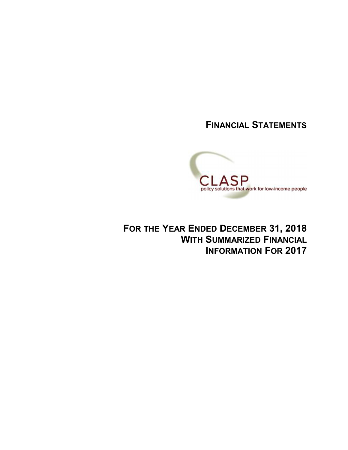**FINANCIAL STATEMENTS**



**FOR THE YEAR ENDED DECEMBER 31, 2018 WITH SUMMARIZED FINANCIAL INFORMATION FOR 2017**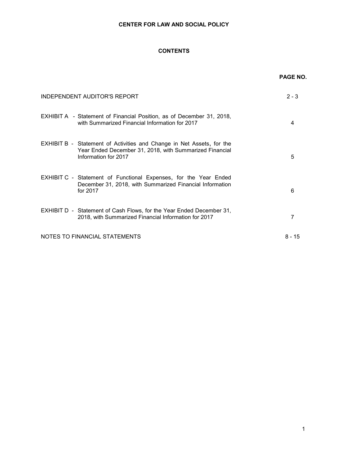# **CONTENTS**

|                                                                                                                                                          | <b>PAGE NO.</b> |
|----------------------------------------------------------------------------------------------------------------------------------------------------------|-----------------|
| INDEPENDENT AUDITOR'S REPORT                                                                                                                             | $2 - 3$         |
| EXHIBIT A - Statement of Financial Position, as of December 31, 2018,<br>with Summarized Financial Information for 2017                                  | 4               |
| EXHIBIT B - Statement of Activities and Change in Net Assets, for the<br>Year Ended December 31, 2018, with Summarized Financial<br>Information for 2017 | 5               |
| <b>EXHIBIT C - Statement of Functional Expenses, for the Year Ended</b><br>December 31, 2018, with Summarized Financial Information<br>for 2017          | 6               |
| EXHIBIT D - Statement of Cash Flows, for the Year Ended December 31,<br>2018, with Summarized Financial Information for 2017                             | 7               |
| NOTES TO FINANCIAL STATEMENTS                                                                                                                            | $8 - 15$        |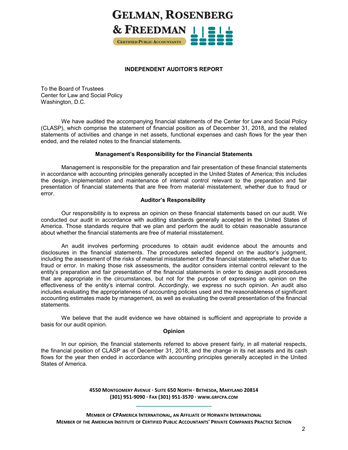

#### **INDEPENDENT AUDITOR'S REPORT**

To the Board of Trustees Center for Law and Social Policy Washington, D.C.

We have audited the accompanying financial statements of the Center for Law and Social Policy (CLASP), which comprise the statement of financial position as of December 31, 2018, and the related statements of activities and change in net assets, functional expenses and cash flows for the year then ended, and the related notes to the financial statements.

#### **Management's Responsibility for the Financial Statements**

Management is responsible for the preparation and fair presentation of these financial statements in accordance with accounting principles generally accepted in the United States of America; this includes the design, implementation and maintenance of internal control relevant to the preparation and fair presentation of financial statements that are free from material misstatement, whether due to fraud or error.

## **Auditor's Responsibility**

Our responsibility is to express an opinion on these financial statements based on our audit. We conducted our audit in accordance with auditing standards generally accepted in the United States of America. Those standards require that we plan and perform the audit to obtain reasonable assurance about whether the financial statements are free of material misstatement.

An audit involves performing procedures to obtain audit evidence about the amounts and disclosures in the financial statements. The procedures selected depend on the auditor's judgment, including the assessment of the risks of material misstatement of the financial statements, whether due to fraud or error. In making those risk assessments, the auditor considers internal control relevant to the entity's preparation and fair presentation of the financial statements in order to design audit procedures that are appropriate in the circumstances, but not for the purpose of expressing an opinion on the effectiveness of the entity's internal control. Accordingly, we express no such opinion. An audit also includes evaluating the appropriateness of accounting policies used and the reasonableness of significant accounting estimates made by management, as well as evaluating the overall presentation of the financial statements.

We believe that the audit evidence we have obtained is sufficient and appropriate to provide a basis for our audit opinion.

#### **Opinion**

In our opinion, the financial statements referred to above present fairly, in all material respects, the financial position of CLASP as of December 31, 2018, and the change in its net assets and its cash flows for the year then ended in accordance with accounting principles generally accepted in the United States of America.

> **4550 MONTGOMERY AVENUE · SUITE 650 NORTH · BETHESDA, MARYLAND 20814 (301) 951-9090 · FAX (301) 951-3570 · WWW.GRFCPA.COM \_\_\_\_\_\_\_\_\_\_\_\_\_\_\_\_\_\_\_\_\_\_\_\_\_\_\_**

**MEMBER OF CPAMERICA INTERNATIONAL, AN AFFILIATE OF HORWATH INTERNATIONAL** MEMBER OF THE AMERICAN INSTITUTE OF CERTIFIED PUBLIC ACCOUNTANTS' PRIVATE COMPANIES PRACTICE SECTION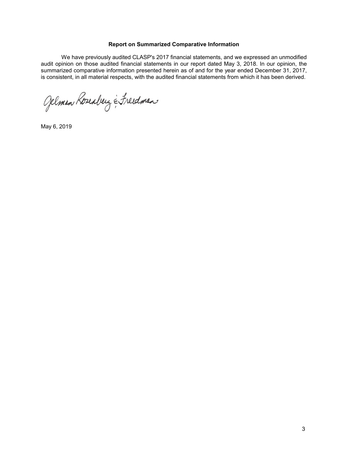#### **Report on Summarized Comparative Information**

We have previously audited CLASP's 2017 financial statements, and we expressed an unmodified audit opinion on those audited financial statements in our report dated May 3, 2018. In our opinion, the summarized comparative information presented herein as of and for the year ended December 31, 2017, is consistent, in all material respects, with the audited financial statements from which it has been derived.

Gelman Roseaberg & Freedman

May 6, 2019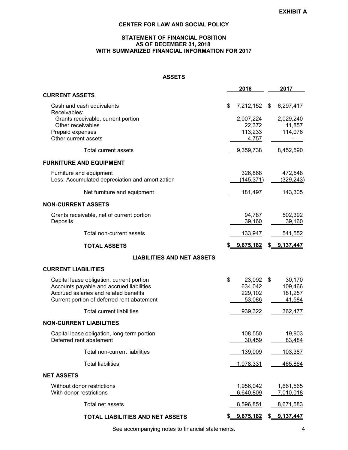## **STATEMENT OF FINANCIAL POSITION AS OF DECEMBER 31, 2018 WITH SUMMARIZED FINANCIAL INFORMATION FOR 2017**

## **ASSETS**

|                                                                                     | 2018              | 2017              |
|-------------------------------------------------------------------------------------|-------------------|-------------------|
| <b>CURRENT ASSETS</b>                                                               |                   |                   |
| Cash and cash equivalents<br>Receivables:                                           | \$<br>7,212,152   | \$<br>6,297,417   |
| Grants receivable, current portion                                                  | 2,007,224         | 2,029,240         |
| Other receivables<br>Prepaid expenses                                               | 22,372<br>113,233 | 11,857<br>114,076 |
| Other current assets                                                                | 4,757             |                   |
| <b>Total current assets</b>                                                         | 9,359,738         | 8,452,590         |
| <b>FURNITURE AND EQUIPMENT</b>                                                      |                   |                   |
| Furniture and equipment                                                             | 326,868           | 472,548           |
| Less: Accumulated depreciation and amortization                                     | (145, 371)        | (329, 243)        |
| Net furniture and equipment                                                         | 181,497           | 143,305           |
| <b>NON-CURRENT ASSETS</b>                                                           |                   |                   |
| Grants receivable, net of current portion                                           | 94,787            | 502,392           |
| Deposits                                                                            | 39,160            | 39,160            |
| Total non-current assets                                                            | 133,947           | 541,552           |
| <b>TOTAL ASSETS</b>                                                                 | 9,675,182         | \$ 9,137,447      |
| <b>LIABILITIES AND NET ASSETS</b>                                                   |                   |                   |
| <b>CURRENT LIABILITIES</b>                                                          |                   |                   |
| Capital lease obligation, current portion                                           | \$<br>23,092      | \$<br>30,170      |
| Accounts payable and accrued liabilities                                            | 634,042           | 109,466           |
| Accrued salaries and related benefits<br>Current portion of deferred rent abatement | 229,102<br>53,086 | 181,257<br>41,584 |
| <b>Total current liabilities</b>                                                    | 939,322           | 362,477           |
| <b>NON-CURRENT LIABILITIES</b>                                                      |                   |                   |
| Capital lease obligation, long-term portion                                         | 108,550           | 19,903            |
| Deferred rent abatement                                                             | 30,459            | 83.484            |
| Total non-current liabilities                                                       | 139,009           | 103,387           |
| <b>Total liabilities</b>                                                            | 1,078,331         | 465,864           |
| <b>NET ASSETS</b>                                                                   |                   |                   |
| Without donor restrictions                                                          | 1,956,042         | 1,661,565         |
| With donor restrictions                                                             | 6,640,809         | 7,010,018         |
| Total net assets                                                                    | 8,596,851         | 8,671,583         |
| TOTAL LIABILITIES AND NET ASSETS                                                    | \$9,675,182       | \$9,137,447       |

See accompanying notes to financial statements. 4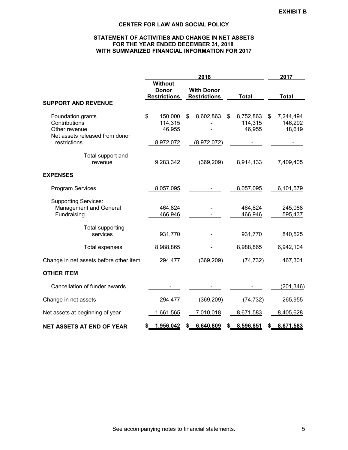## **STATEMENT OF ACTIVITIES AND CHANGE IN NET ASSETS FOR THE YEAR ENDED DECEMBER 31, 2018 WITH SUMMARIZED FINANCIAL INFORMATION FOR 2017**

|                                                                                                       | 2018 |                                                       |    | 2017                                     |    |                                |    |                                |
|-------------------------------------------------------------------------------------------------------|------|-------------------------------------------------------|----|------------------------------------------|----|--------------------------------|----|--------------------------------|
|                                                                                                       |      | <b>Without</b><br><b>Donor</b><br><b>Restrictions</b> |    | <b>With Donor</b><br><b>Restrictions</b> |    | <b>Total</b>                   |    | <b>Total</b>                   |
| <b>SUPPORT AND REVENUE</b>                                                                            |      |                                                       |    |                                          |    |                                |    |                                |
| Foundation grants<br>Contributions<br>Other revenue<br>Net assets released from donor<br>restrictions | \$   | 150,000<br>114,315<br>46,955<br>8,972,072             | \$ | 8,602,863<br>(8,972,072)                 | \$ | 8,752,863<br>114,315<br>46,955 | \$ | 7,244,494<br>146,292<br>18,619 |
|                                                                                                       |      |                                                       |    |                                          |    |                                |    |                                |
| Total support and<br>revenue                                                                          |      | 9,283,342                                             |    | (369, 209)                               |    | 8,914,133                      |    | 7,409,405                      |
| <b>EXPENSES</b>                                                                                       |      |                                                       |    |                                          |    |                                |    |                                |
| <b>Program Services</b>                                                                               |      | 8,057,095                                             |    |                                          |    | 8,057,095                      |    | 6,101,579                      |
| <b>Supporting Services:</b><br>Management and General<br>Fundraising                                  |      | 464,824<br>466,946                                    |    |                                          |    | 464,824<br>466,946             |    | 245,088<br>595,437             |
| Total supporting<br>services                                                                          |      | 931,770                                               |    |                                          |    | 931,770                        |    | 840,525                        |
| Total expenses                                                                                        |      | 8,988,865                                             |    |                                          |    | 8,988,865                      |    | 6,942,104                      |
| Change in net assets before other item                                                                |      | 294,477                                               |    | (369, 209)                               |    | (74, 732)                      |    | 467,301                        |
| <b>OTHER ITEM</b>                                                                                     |      |                                                       |    |                                          |    |                                |    |                                |
| Cancellation of funder awards                                                                         |      |                                                       |    |                                          |    |                                |    | (201, 346)                     |
| Change in net assets                                                                                  |      | 294,477                                               |    | (369, 209)                               |    | (74, 732)                      |    | 265,955                        |
| Net assets at beginning of year                                                                       |      | 1,661,565                                             |    | 7,010,018                                |    | 8,671,583                      |    | 8,405,628                      |
| <b>NET ASSETS AT END OF YEAR</b>                                                                      | \$   | 1,956,042                                             | S  | 6,640,809                                | S  | 8,596,851                      | \$ | 8,671,583                      |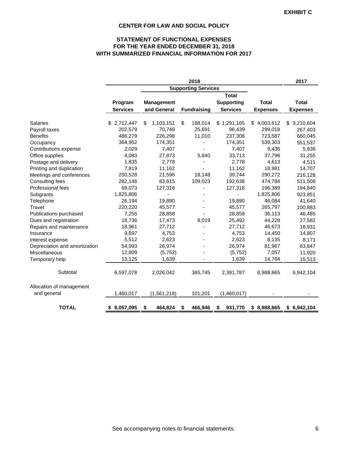## **STATEMENT OF FUNCTIONAL EXPENSES FOR THE YEAR ENDED DECEMBER 31, 2018 WITH SUMMARIZED FINANCIAL INFORMATION FOR 2017**

|                               |                 |                   | 2018                       |                   |                 | 2017            |
|-------------------------------|-----------------|-------------------|----------------------------|-------------------|-----------------|-----------------|
|                               |                 |                   | <b>Supporting Services</b> |                   |                 |                 |
|                               |                 |                   |                            | <b>Total</b>      |                 |                 |
|                               | Program         | <b>Management</b> |                            | <b>Supporting</b> | <b>Total</b>    | <b>Total</b>    |
|                               | <b>Services</b> | and General       | <b>Fundraising</b>         | <b>Services</b>   | <b>Expenses</b> | <b>Expenses</b> |
| <b>Salaries</b>               | 2,712,447       | 1,103,151<br>\$   | \$<br>188,014              | \$1,291,165       | \$4,003,612     | \$3,210,604     |
| Payroll taxes                 | 202,579         | 70,748            | 25,691                     | 96,439            | 299,018         | 267,403         |
| <b>Benefits</b>               | 486,279         | 226,298           | 11,010                     | 237,308           | 723,587         | 660,045         |
| Occupancy                     | 364,952         | 174,351           |                            | 174,351           | 539,303         | 551,537         |
| Contributions expense         | 2,029           | 7,407             |                            | 7,407             | 9,436           | 5,936           |
| Office supplies               | 4,083           | 27,873            | 5,840                      | 33,713            | 37,796          | 31,255          |
| Postage and delivery          | 1,835           | 2,778             |                            | 2,778             | 4,613           | 4,511           |
| Printing and duplication      | 7,819           | 11,162            |                            | 11,162            | 18,981          | 14,707          |
| Meetings and conferences      | 250,528         | 21,596            | 18,148                     | 39,744            | 290,272         | 216,128         |
| Consulting fees               | 282,146         | 83,615            | 109,023                    | 192,638           | 474,784         | 511,508         |
| Professional fees             | 69,073          | 127,316           |                            | 127,316           | 196,389         | 194,840         |
| Subgrants                     | 1,825,806       |                   |                            |                   | 1,825,806       | 923,851         |
| Telephone                     | 26,194          | 19,890            |                            | 19,890            | 46,084          | 41,640          |
| Travel                        | 220,220         | 45,577            |                            | 45,577            | 265,797         | 100,883         |
| Publications purchased        | 7,255           | 28,858            |                            | 28,858            | 36,113          | 46,485          |
| Dues and registration         | 18,736          | 17,473            | 8,019                      | 25,492            | 44,228          | 27,582          |
| Repairs and maintenance       | 18,961          | 27,712            |                            | 27,712            | 46,673          | 18,931          |
| Insurance                     | 9,697           | 4,753             |                            | 4,753             | 14,450          | 14,807          |
| Interest expense              | 5,512           | 2,623             |                            | 2,623             | 8,135           | 8,171           |
| Depreciation and amortization | 54,993          | 26,974            |                            | 26,974            | 81,967          | 63,847          |
| Miscellaneous                 | 12,809          | (5,752)           |                            | (5, 752)          | 7,057           | 11,920          |
| Temporary help                | 13,125          | 1,639             |                            | 1,639             | 14,764          | 15,513          |
| Subtotal                      | 6,597,078       | 2,026,042         | 365,745                    | 2,391,787         | 8,988,865       | 6,942,104       |
| Allocation of management      |                 |                   |                            |                   |                 |                 |
| and general                   | 1,460,017       | (1,561,218)       | 101,201                    | (1,460,017)       |                 |                 |
|                               |                 |                   |                            |                   |                 |                 |
| <b>TOTAL</b>                  | \$8,057,095     | \$<br>464,824     | 466,946<br>\$              | 931,770<br>\$     | \$8,988,865     | \$6,942,104     |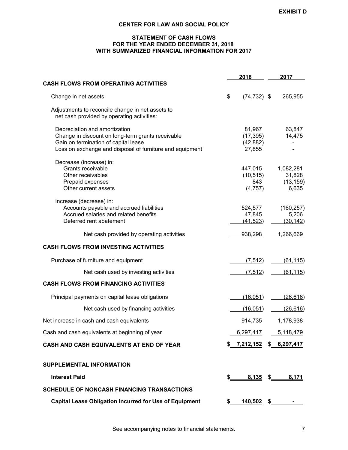## **STATEMENT OF CASH FLOWS FOR THE YEAR ENDED DECEMBER 31, 2018 WITH SUMMARIZED FINANCIAL INFORMATION FOR 2017**

|                                                                                                                                                                                        | 2018                                       | 2017                                      |
|----------------------------------------------------------------------------------------------------------------------------------------------------------------------------------------|--------------------------------------------|-------------------------------------------|
| <b>CASH FLOWS FROM OPERATING ACTIVITIES</b>                                                                                                                                            |                                            |                                           |
| Change in net assets                                                                                                                                                                   | \$<br>$(74, 732)$ \$                       | 265,955                                   |
| Adjustments to reconcile change in net assets to<br>net cash provided by operating activities:                                                                                         |                                            |                                           |
| Depreciation and amortization<br>Change in discount on long-term grants receivable<br>Gain on termination of capital lease<br>Loss on exchange and disposal of furniture and equipment | 81,967<br>(17, 395)<br>(42, 882)<br>27,855 | 63,847<br>14,475                          |
| Decrease (increase) in:<br>Grants receivable<br>Other receivables<br>Prepaid expenses<br>Other current assets                                                                          | 447,015<br>(10, 515)<br>843<br>(4,757)     | 1,082,281<br>31,828<br>(13, 159)<br>6,635 |
| Increase (decrease) in:<br>Accounts payable and accrued liabilities<br>Accrued salaries and related benefits<br>Deferred rent abatement                                                | 524,577<br>47,845<br>(41, 523)             | (160, 257)<br>5,206<br>(30, 142)          |
| Net cash provided by operating activities                                                                                                                                              | 938,298                                    | 1,266,669                                 |
| <b>CASH FLOWS FROM INVESTING ACTIVITIES</b>                                                                                                                                            |                                            |                                           |
| Purchase of furniture and equipment                                                                                                                                                    | (7, 512)                                   | (61, 115)                                 |
| Net cash used by investing activities                                                                                                                                                  | (7, 512)                                   | (61, 115)                                 |
| <b>CASH FLOWS FROM FINANCING ACTIVITIES</b>                                                                                                                                            |                                            |                                           |
| Principal payments on capital lease obligations                                                                                                                                        | (16, 051)                                  | (26, 616)                                 |
| Net cash used by financing activities                                                                                                                                                  | (16,051)                                   | (26, 616)                                 |
| Net increase in cash and cash equivalents                                                                                                                                              | 914,735                                    | 1,178,938                                 |
| Cash and cash equivalents at beginning of year                                                                                                                                         | 6,297,417                                  | 5,118,479                                 |
| CASH AND CASH EQUIVALENTS AT END OF YEAR                                                                                                                                               | $$7,212,152$ $$6,297,417$                  |                                           |
| <b>SUPPLEMENTAL INFORMATION</b>                                                                                                                                                        |                                            |                                           |
| <b>Interest Paid</b>                                                                                                                                                                   | $8,135$ \$                                 | 8,171                                     |
| <b>SCHEDULE OF NONCASH FINANCING TRANSACTIONS</b>                                                                                                                                      |                                            |                                           |
| <b>Capital Lease Obligation Incurred for Use of Equipment</b>                                                                                                                          | \$<br><u>140,502</u> \$_                   |                                           |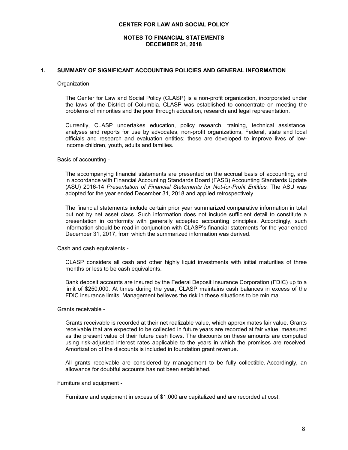#### **NOTES TO FINANCIAL STATEMENTS DECEMBER 31, 2018**

#### **1. SUMMARY OF SIGNIFICANT ACCOUNTING POLICIES AND GENERAL INFORMATION**

#### Organization -

The Center for Law and Social Policy (CLASP) is a non-profit organization, incorporated under the laws of the District of Columbia. CLASP was established to concentrate on meeting the problems of minorities and the poor through education, research and legal representation.

Currently, CLASP undertakes education, policy research, training, technical assistance, analyses and reports for use by advocates, non-profit organizations, Federal, state and local officials and research and evaluation entities; these are developed to improve lives of lowincome children, youth, adults and families.

Basis of accounting -

The accompanying financial statements are presented on the accrual basis of accounting, and in accordance with Financial Accounting Standards Board (FASB) Accounting Standards Update (ASU) 2016-14 *Presentation of Financial Statements for Not-for-Profit Entities.* The ASU was adopted for the year ended December 31, 2018 and applied retrospectively.

The financial statements include certain prior year summarized comparative information in total but not by net asset class. Such information does not include sufficient detail to constitute a presentation in conformity with generally accepted accounting principles. Accordingly, such information should be read in conjunction with CLASP's financial statements for the year ended December 31, 2017, from which the summarized information was derived.

Cash and cash equivalents -

CLASP considers all cash and other highly liquid investments with initial maturities of three months or less to be cash equivalents.

Bank deposit accounts are insured by the Federal Deposit Insurance Corporation (FDIC) up to a limit of \$250,000. At times during the year, CLASP maintains cash balances in excess of the FDIC insurance limits. Management believes the risk in these situations to be minimal.

#### Grants receivable -

Grants receivable is recorded at their net realizable value, which approximates fair value. Grants receivable that are expected to be collected in future years are recorded at fair value, measured as the present value of their future cash flows. The discounts on these amounts are computed using risk-adjusted interest rates applicable to the years in which the promises are received. Amortization of the discounts is included in foundation grant revenue.

All grants receivable are considered by management to be fully collectible. Accordingly, an allowance for doubtful accounts has not been established.

Furniture and equipment -

Furniture and equipment in excess of \$1,000 are capitalized and are recorded at cost.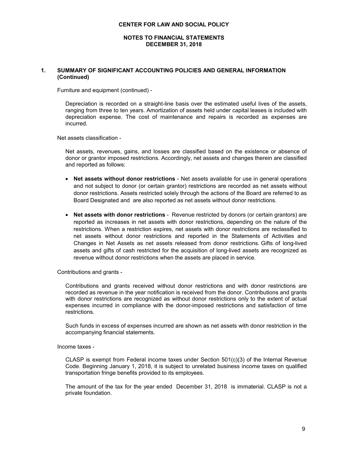#### **NOTES TO FINANCIAL STATEMENTS DECEMBER 31, 2018**

#### **1. SUMMARY OF SIGNIFICANT ACCOUNTING POLICIES AND GENERAL INFORMATION (Continued)**

Furniture and equipment (continued) -

Depreciation is recorded on a straight-line basis over the estimated useful lives of the assets, ranging from three to ten years. Amortization of assets held under capital leases is included with depreciation expense. The cost of maintenance and repairs is recorded as expenses are incurred.

Net assets classification -

Net assets, revenues, gains, and losses are classified based on the existence or absence of donor or grantor imposed restrictions. Accordingly, net assets and changes therein are classified and reported as follows:

- **Net assets without donor restrictions** Net assets available for use in general operations and not subject to donor (or certain grantor) restrictions are recorded as net assets without donor restrictions. Assets restricted solely through the actions of the Board are referred to as Board Designated and are also reported as net assets without donor restrictions.
- **Net assets with donor restrictions** Revenue restricted by donors (or certain grantors) are reported as increases in net assets with donor restrictions, depending on the nature of the restrictions. When a restriction expires, net assets with donor restrictions are reclassified to net assets without donor restrictions and reported in the Statements of Activities and Changes in Net Assets as net assets released from donor restrictions. Gifts of long-lived assets and gifts of cash restricted for the acquisition of long-lived assets are recognized as revenue without donor restrictions when the assets are placed in service.

Contributions and grants -

Contributions and grants received without donor restrictions and with donor restrictions are recorded as revenue in the year notification is received from the donor. Contributions and grants with donor restrictions are recognized as without donor restrictions only to the extent of actual expenses incurred in compliance with the donor-imposed restrictions and satisfaction of time restrictions.

Such funds in excess of expenses incurred are shown as net assets with donor restriction in the accompanying financial statements.

#### Income taxes -

CLASP is exempt from Federal income taxes under Section  $501(c)(3)$  of the Internal Revenue Code. Beginning January 1, 2018, it is subject to unrelated business income taxes on qualified transportation fringe benefits provided to its employees.

The amount of the tax for the year ended December 31, 2018 is immaterial. CLASP is not a private foundation.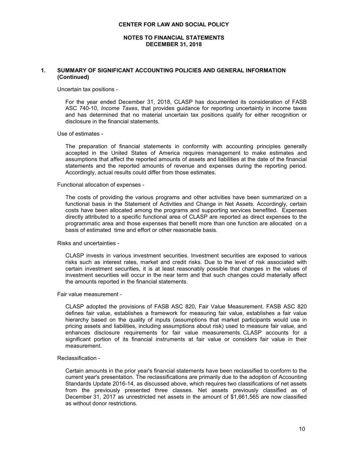#### **NOTES TO FINANCIAL STATEMENTS DECEMBER 31, 2018**

#### **1. SUMMARY OF SIGNIFICANT ACCOUNTING POLICIES AND GENERAL INFORMATION (Continued)**

Uncertain tax positions -

For the year ended December 31, 2018, CLASP has documented its consideration of FASB ASC 740-10, *Income Taxes*, that provides guidance for reporting uncertainty in income taxes and has determined that no material uncertain tax positions qualify for either recognition or disclosure in the financial statements.

Use of estimates -

The preparation of financial statements in conformity with accounting principles generally accepted in the United States of America requires management to make estimates and assumptions that affect the reported amounts of assets and liabilities at the date of the financial statements and the reported amounts of revenue and expenses during the reporting period. Accordingly, actual results could differ from those estimates.

#### Functional allocation of expenses -

The costs of providing the various programs and other activities have been summarized on a functional basis in the Statement of Activities and Change in Net Assets. Accordingly, certain costs have been allocated among the programs and supporting services benefited. Expenses directly attributed to a specific functional area of CLASP are reported as direct expenses to the programmatic area and those expenses that benefit more than one function are allocated on a basis of estimated time and effort or other reasonable basis.

Risks and uncertainties -

CLASP invests in various investment securities. Investment securities are exposed to various risks such as interest rates, market and credit risks. Due to the level of risk associated with certain investment securities, it is at least reasonably possible that changes in the values of investment securities will occur in the near term and that such changes could materially affect the amounts reported in the financial statements.

Fair value measurement -

CLASP adopted the provisions of FASB ASC 820, Fair Value Measurement. FASB ASC 820 defines fair value, establishes a framework for measuring fair value, establishes a fair value hierarchy based on the quality of inputs (assumptions that market participants would use in pricing assets and liabilities, including assumptions about risk) used to measure fair value, and enhances disclosure requirements for fair value measurements. CLASP accounts for a significant portion of its financial instruments at fair value or considers fair value in their measurement.

#### Reclassification -

Certain amounts in the prior year's financial statements have been reclassified to conform to the current year's presentation. The reclassifications are primarily due to the adoption of Accounting Standards Update 2016-14, as discussed above, which requires two classifications of net assets from the previously presented three classes. Net assets previously classified as of December 31, 2017 as unrestricted net assets in the amount of \$1,661,565 are now classified as without donor restrictions.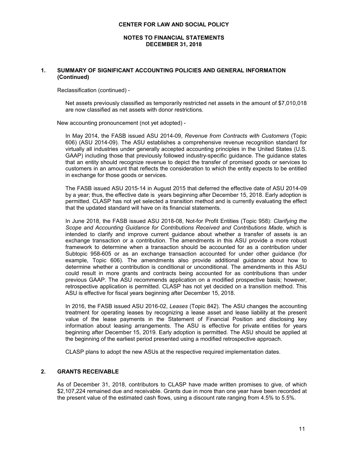#### **NOTES TO FINANCIAL STATEMENTS DECEMBER 31, 2018**

#### **1. SUMMARY OF SIGNIFICANT ACCOUNTING POLICIES AND GENERAL INFORMATION (Continued)**

Reclassification (continued) -

Net assets previously classified as temporarily restricted net assets in the amount of \$7,010,018 are now classified as net assets with donor restrictions.

New accounting pronouncement (not yet adopted) -

In May 2014, the FASB issued ASU 2014-09, *Revenue from Contracts with Customers* (Topic 606) (ASU 2014-09). The ASU establishes a comprehensive revenue recognition standard for virtually all industries under generally accepted accounting principles in the United States (U.S. GAAP) including those that previously followed industry-specific guidance. The guidance states that an entity should recognize revenue to depict the transfer of promised goods or services to customers in an amount that reflects the consideration to which the entity expects to be entitled in exchange for those goods or services.

The FASB issued ASU 2015-14 in August 2015 that deferred the effective date of ASU 2014-09 by a year; thus, the effective date is years beginning after December 15, 2018. Early adoption is permitted. CLASP has not yet selected a transition method and is currently evaluating the effect that the updated standard will have on its financial statements.

In June 2018, the FASB issued ASU 2018-08, Not-for Profit Entities (Topic 958): *Clarifying the Scope and Accounting Guidance for Contributions Received and Contributions Made*, which is intended to clarify and improve current guidance about whether a transfer of assets is an exchange transaction or a contribution. The amendments in this ASU provide a more robust framework to determine when a transaction should be accounted for as a contribution under Subtopic 958-605 or as an exchange transaction accounted for under other guidance (for example, Topic 606). The amendments also provide additional guidance about how to determine whether a contribution is conditional or unconditional. The amendments in this ASU could result in more grants and contracts being accounted for as contributions than under previous GAAP. The ASU recommends application on a modified prospective basis; however, retrospective application is permitted. CLASP has not yet decided on a transition method. This ASU is effective for fiscal years beginning after December 15, 2018.

In 2016, the FASB issued ASU 2016-02, *Leases* (Topic 842). The ASU changes the accounting treatment for operating leases by recognizing a lease asset and lease liability at the present value of the lease payments in the Statement of Financial Position and disclosing key information about leasing arrangements. The ASU is effective for private entities for years beginning after December 15, 2019. Early adoption is permitted. The ASU should be applied at the beginning of the earliest period presented using a modified retrospective approach.

CLASP plans to adopt the new ASUs at the respective required implementation dates.

## **2. GRANTS RECEIVABLE**

As of December 31, 2018, contributors to CLASP have made written promises to give, of which \$2,107,224 remained due and receivable. Grants due in more than one year have been recorded at the present value of the estimated cash flows, using a discount rate ranging from 4.5% to 5.5%.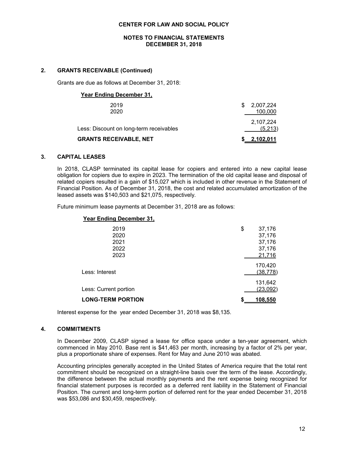#### **NOTES TO FINANCIAL STATEMENTS DECEMBER 31, 2018**

#### **2. GRANTS RECEIVABLE (Continued)**

Grants are due as follows at December 31, 2018:

# **Year Ending December 31,** 2019 \$ 2,007,224 2020 100,000 2,107,224 Less: Discount on long-term receivables (5,213) **GRANTS RECEIVABLE, NET \$ 2,102,011**

#### **3. CAPITAL LEASES**

In 2018, CLASP terminated its capital lease for copiers and entered into a new capital lease obligation for copiers due to expire in 2023. The termination of the old capital lease and disposal of related copiers resulted in a gain of \$15,027 which is included in other revenue in the Statement of Financial Position. As of December 31, 2018, the cost and related accumulated amortization of the leased assets was \$140,503 and \$21,075, respectively.

Future minimum lease payments at December 31, 2018 are as follows:

#### **Year Ending December 31,**

| 2019                     | \$<br>37,176         |
|--------------------------|----------------------|
| 2020                     | 37,176               |
| 2021                     | 37,176               |
| 2022                     | 37,176               |
| 2023                     | 21,716               |
| Less: Interest           | 170,420<br>(38, 778) |
| Less: Current portion    | 131,642<br>(23,092)  |
| <b>LONG-TERM PORTION</b> | 108,550              |

Interest expense for the year ended December 31, 2018 was \$8,135.

#### **4. COMMITMENTS**

In December 2009, CLASP signed a lease for office space under a ten-year agreement, which commenced in May 2010. Base rent is \$41,463 per month, increasing by a factor of 2% per year, plus a proportionate share of expenses. Rent for May and June 2010 was abated.

Accounting principles generally accepted in the United States of America require that the total rent commitment should be recognized on a straight-line basis over the term of the lease. Accordingly, the difference between the actual monthly payments and the rent expense being recognized for financial statement purposes is recorded as a deferred rent liability in the Statement of Financial Position. The current and long-term portion of deferred rent for the year ended December 31, 2018 was \$53,086 and \$30,459, respectively.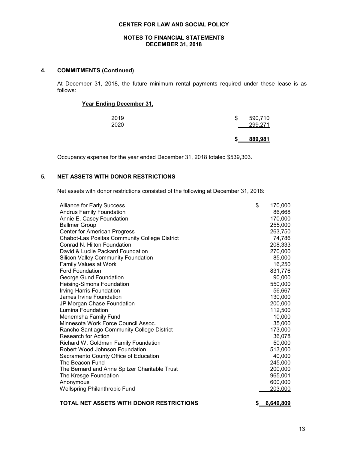## **NOTES TO FINANCIAL STATEMENTS DECEMBER 31, 2018**

#### **4. COMMITMENTS (Continued)**

At December 31, 2018, the future minimum rental payments required under these lease is as follows:

#### **Year Ending December 31,**

| 2019<br>2020 | 590,710<br>299,271 |
|--------------|--------------------|

Occupancy expense for the year ended December 31, 2018 totaled \$539,303.

# **5. NET ASSETS WITH DONOR RESTRICTIONS**

Net assets with donor restrictions consisted of the following at December 31, 2018:

| <b>Alliance for Early Success</b>                    | \$<br>170,000 |
|------------------------------------------------------|---------------|
| <b>Andrus Family Foundation</b>                      | 86,668        |
| Annie E. Casey Foundation                            | 170,000       |
| <b>Ballmer Group</b>                                 | 255,000       |
| Center for American Progress                         | 263,750       |
| <b>Chabot-Las Positas Community College District</b> | 74,786        |
| Conrad N. Hilton Foundation                          | 208,333       |
| David & Lucile Packard Foundation                    | 270,000       |
| <b>Silicon Valley Community Foundation</b>           | 85,000        |
| <b>Family Values at Work</b>                         | 16,250        |
| <b>Ford Foundation</b>                               | 831,776       |
| George Gund Foundation                               | 90,000        |
| <b>Heising-Simons Foundation</b>                     | 550,000       |
| <b>Irving Harris Foundation</b>                      | 56,667        |
| James Irvine Foundation                              | 130,000       |
| JP Morgan Chase Foundation                           | 200,000       |
| Lumina Foundation                                    | 112,500       |
| Menemsha Family Fund                                 | 10,000        |
| Minnesota Work Force Council Assoc.                  | 35,000        |
| Rancho Santiago Community College District           | 173,000       |
| Research for Action                                  | 36,078        |
| Richard W. Goldman Family Foundation                 | 50,000        |
| Robert Wood Johnson Foundation                       | 513,000       |
| Sacramento County Office of Education                | 40,000        |
| The Beacon Fund                                      | 245,000       |
| The Bernard and Anne Spitzer Charitable Trust        | 200,000       |
| The Kresge Foundation                                | 965,001       |
| Anonymous                                            | 600,000       |
| <b>Wellspring Philanthropic Fund</b>                 | 203,000       |
|                                                      |               |

# **TOTAL NET ASSETS WITH DONOR RESTRICTIONS \$ 6,640,809**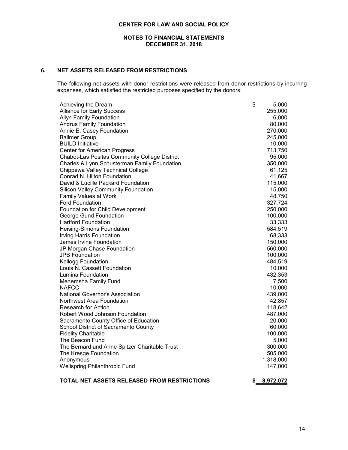## **NOTES TO FINANCIAL STATEMENTS DECEMBER 31, 2018**

# **6. NET ASSETS RELEASED FROM RESTRICTIONS**

The following net assets with donor restrictions were released from donor restrictions by incurring expenses, which satisfied the restricted purposes specified by the donors:

| Achieving the Dream                                  | \$<br>5,000 |
|------------------------------------------------------|-------------|
| <b>Alliance for Early Success</b>                    | 255,000     |
| <b>Allyn Family Foundation</b>                       | 6,000       |
| <b>Andrus Family Foundation</b>                      | 80,000      |
| Annie E. Casey Foundation                            | 270,000     |
| <b>Ballmer Group</b>                                 | 245,000     |
| <b>BUILD Initiative</b>                              | 10,000      |
| <b>Center for American Progress</b>                  | 713,750     |
| <b>Chabot-Las Positas Community College District</b> | 95,000      |
| Charles & Lynn Schusterman Family Foundation         | 350,000     |
| Chippewa Valley Technical College                    | 61,125      |
| Conrad N. Hilton Foundation                          | 41,667      |
| David & Lucille Packard Foundation                   | 115,000     |
| Silicon Valley Community Foundation                  | 15,000      |
| <b>Family Values at Work</b>                         | 48,750      |
| <b>Ford Foundation</b>                               | 327,724     |
| Foundation for Child Development                     | 250,000     |
| George Gund Foundation                               | 100,000     |
| <b>Hartford Foundation</b>                           | 33,333      |
| Heising-Simons Foundation                            | 584,519     |
| <b>Irving Harris Foundation</b>                      | 68,333      |
| James Irvine Foundation                              | 150,000     |
| JP Morgan Chase Foundation                           | 560,000     |
| <b>JPB Foundation</b>                                | 100,000     |
| Kellogg Foundation                                   | 484,519     |
| Louis N. Cassett Foundation                          | 10,000      |
| Lumina Foundation                                    | 432,353     |
| Menemsha Family Fund                                 | 7,500       |
| NAFCC                                                | 10,000      |
| National Governor's Association                      | 439,000     |
| Northwest Area Foundation                            | 42,857      |
| <b>Research for Action</b>                           | 118,642     |
| Robert Wood Johnson Foundation                       | 487,000     |
| Sacramento County Office of Education                | 20,000      |
| <b>School District of Sacramento County</b>          | 60,000      |
| <b>Fidelity Charitable</b>                           | 100,000     |
| The Beacon Fund                                      | 5,000       |
| The Bernard and Anne Spitzer Charitable Trust        | 300,000     |
| The Kresge Foundation                                | 505,000     |
| Anonymous                                            | 1,318,000   |
| <b>Wellspring Philanthropic Fund</b>                 | 147,000     |
|                                                      |             |

# **TOTAL NET ASSETS RELEASED FROM RESTRICTIONS \$ 8,972,072**